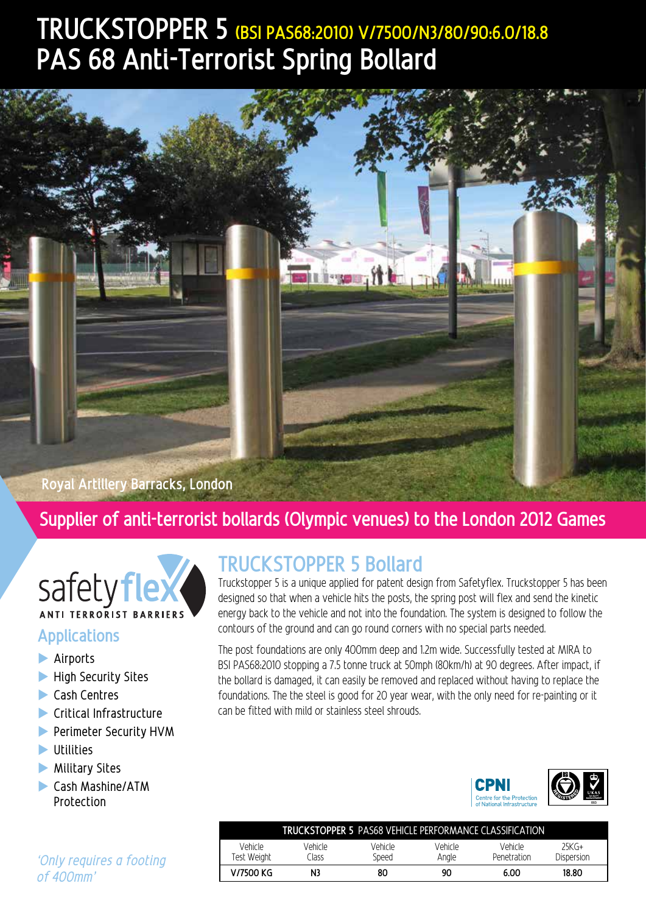# **TRUCKSTOPPER 5 (BSI PAS68:2010) V/7500/N3/80/90:6.0/18.8 PAS 68 Anti-Terrorist Spring Bollard**



### **Royal Artillery Barracks, London**

### **Supplier of anti-terrorist bollards (Olympic venues) to the London 2012 Games**



### **Applications**

- $\blacktriangleright$  Airports
- $\blacktriangleright$  High Security Sites
- $\blacktriangleright$  Cash Centres
- $\blacktriangleright$  Critical Infrastructure
- **Perimeter Security HVM**
- $\blacktriangleright$  Utilities
- $\blacktriangleright$  Military Sites
- **Cash Mashine/ATM** Protection

## **TRUCKSTOPPER 5 Bollard**

Truckstopper 5 is a unique applied for patent design from Safetyflex. Truckstopper 5 has been designed so that when a vehicle hits the posts, the spring post will flex and send the kinetic energy back to the vehicle and not into the foundation. The system is designed to follow the contours of the ground and can go round corners with no special parts needed.

The post foundations are only 400mm deep and 1.2m wide. Successfully tested at MIRA to BSI PAS68:2010 stopping a 7.5 tonne truck at 50mph (80km/h) at 90 degrees. After impact, if the bollard is damaged, it can easily be removed and replaced without having to replace the foundations. The the steel is good for 20 year wear, with the only need for re-painting or it can be fitted with mild or stainless steel shrouds.



| TRUCKSTOPPER 5 PAS68 VFHICLF PFRFORMANCF CLASSIFICATION |                  |                  |                  |                        |                       |
|---------------------------------------------------------|------------------|------------------|------------------|------------------------|-----------------------|
| Vehirle<br>Test Weight                                  | Vehicle<br>Ilass | Vehicle<br>Speed | Vehirle<br>Anale | Vehicle<br>Penetration | $25KG+$<br>Dispersion |
| V/7500 KG                                               | N3               | 80               | 90               | 6.00                   | 18.80                 |

*'Only requires a footing of 400mm'*